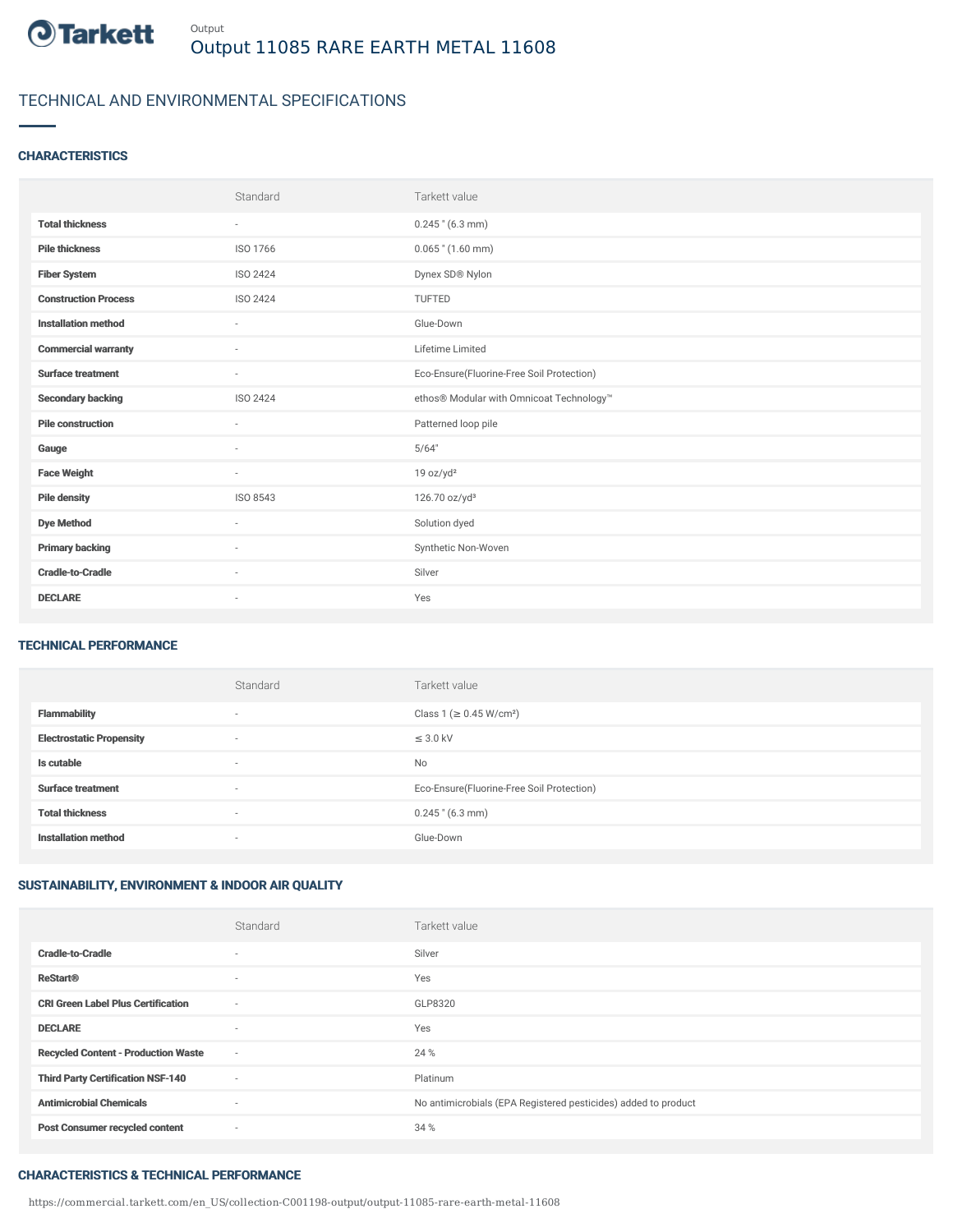

# TECHNICAL AND ENVIRONMENTAL SPECIFICATIONS

### **CHARACTERISTICS**

|                             | Standard        | Tarkett value                             |
|-----------------------------|-----------------|-------------------------------------------|
| <b>Total thickness</b>      | $\sim$          | $0.245$ " (6.3 mm)                        |
| <b>Pile thickness</b>       | ISO 1766        | $0.065$ " $(1.60$ mm)                     |
| <b>Fiber System</b>         | <b>ISO 2424</b> | Dynex SD® Nylon                           |
| <b>Construction Process</b> | <b>ISO 2424</b> | <b>TUFTED</b>                             |
| <b>Installation method</b>  | $\sim$          | Glue-Down                                 |
| <b>Commercial warranty</b>  | $\sim$          | Lifetime Limited                          |
| <b>Surface treatment</b>    | ٠               | Eco-Ensure(Fluorine-Free Soil Protection) |
| <b>Secondary backing</b>    | <b>ISO 2424</b> | ethos® Modular with Omnicoat Technology™  |
| <b>Pile construction</b>    | ٠               | Patterned loop pile                       |
| Gauge                       | ٠               | 5/64"                                     |
| <b>Face Weight</b>          | $\sim$          | 19 oz/yd <sup>2</sup>                     |
| <b>Pile density</b>         | ISO 8543        | 126.70 oz/yd <sup>3</sup>                 |
| <b>Dye Method</b>           | ٠               | Solution dyed                             |
| <b>Primary backing</b>      | ٠               | Synthetic Non-Woven                       |
| <b>Cradle-to-Cradle</b>     | ٠               | Silver                                    |
| <b>DECLARE</b>              | ٠               | Yes                                       |

### TECHNICAL PERFORMANCE

|                                 | Standard                 | Tarkett value                             |
|---------------------------------|--------------------------|-------------------------------------------|
| <b>Flammability</b>             | $\overline{\phantom{a}}$ | Class 1 (≥ 0.45 W/cm <sup>2</sup> )       |
| <b>Electrostatic Propensity</b> | $\overline{\phantom{a}}$ | $\leq$ 3.0 kV                             |
| Is cutable                      | $\overline{\phantom{a}}$ | No                                        |
| <b>Surface treatment</b>        | $\overline{\phantom{a}}$ | Eco-Ensure(Fluorine-Free Soil Protection) |
| <b>Total thickness</b>          | $\overline{\phantom{a}}$ | $0.245$ " (6.3 mm)                        |
| <b>Installation method</b>      | $\overline{\phantom{a}}$ | Glue-Down                                 |

## SUSTAINABILITY, ENVIRONMENT & INDOOR AIR QUALITY

|                                            | Standard                 | Tarkett value                                                  |
|--------------------------------------------|--------------------------|----------------------------------------------------------------|
| <b>Cradle-to-Cradle</b>                    | $\overline{\phantom{a}}$ | Silver                                                         |
| <b>ReStart®</b>                            | $\sim$                   | Yes                                                            |
| <b>CRI Green Label Plus Certification</b>  | $\sim$                   | GLP8320                                                        |
| <b>DECLARE</b>                             | $\overline{\phantom{a}}$ | Yes                                                            |
| <b>Recycled Content - Production Waste</b> | $\overline{\phantom{a}}$ | 24 %                                                           |
| <b>Third Party Certification NSF-140</b>   | $\overline{\phantom{a}}$ | Platinum                                                       |
| <b>Antimicrobial Chemicals</b>             | ٠                        | No antimicrobials (EPA Registered pesticides) added to product |
| <b>Post Consumer recycled content</b>      | $\sim$                   | 34 %                                                           |

#### CHARACTERISTICS & TECHNICAL PERFORMANCE